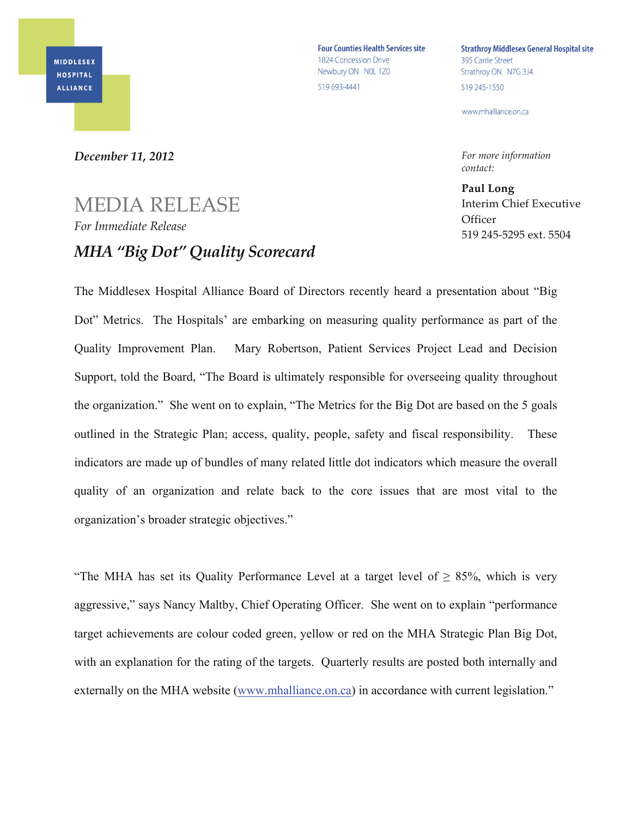**Four Counties Health Services site** 1824 Concession Drive Newbury ON NOL 1Z0 519 693-4441

**Strathroy Middlesex General Hospital site** 395 Carrie Street Strathroy ON N7G 3J4 519 245-1550

www.mhalliance.on.ca

*For more information contact:*

**Paul Long** Interim Chief Executive **Officer** 519 245-5295 ext. 5504

## *December 11, 2012*

## MEDIA RELEASE *For Immediate Release MHA "Big Dot" Quality Scorecard*

The Middlesex Hospital Alliance Board of Directors recently heard a presentation about "Big Dot" Metrics. The Hospitals' are embarking on measuring quality performance as part of the Quality Improvement Plan. Mary Robertson, Patient Services Project Lead and Decision Support, told the Board, "The Board is ultimately responsible for overseeing quality throughout the organization." She went on to explain, "The Metrics for the Big Dot are based on the 5 goals outlined in the Strategic Plan; access, quality, people, safety and fiscal responsibility. These indicators are made up of bundles of many related little dot indicators which measure the overall quality of an organization and relate back to the core issues that are most vital to the organization's broader strategic objectives."

"The MHA has set its Quality Performance Level at a target level of  $> 85\%$ , which is very aggressive," says Nancy Maltby, Chief Operating Officer. She went on to explain "performance target achievements are colour coded green, yellow or red on the MHA Strategic Plan Big Dot, with an explanation for the rating of the targets. Quarterly results are posted both internally and externally on the MHA website (www.mhalliance.on.ca) in accordance with current legislation."